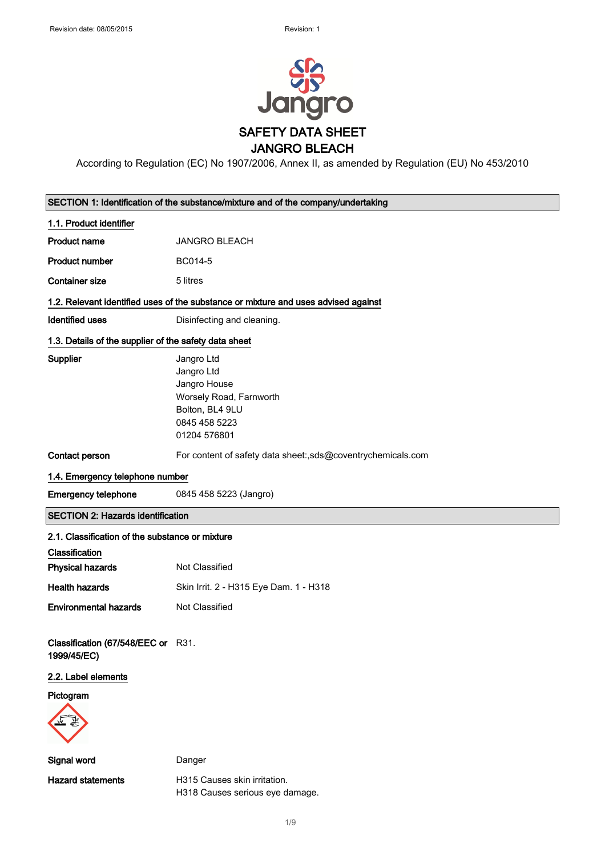

According to Regulation (EC) No 1907/2006, Annex II, as amended by Regulation (EU) No 453/2010

|                                                       | SECTION 1: Identification of the substance/mixture and of the company/undertaking                                       |  |
|-------------------------------------------------------|-------------------------------------------------------------------------------------------------------------------------|--|
| 1.1. Product identifier                               |                                                                                                                         |  |
| <b>Product name</b>                                   | <b>JANGRO BLEACH</b>                                                                                                    |  |
| <b>Product number</b>                                 | BC014-5                                                                                                                 |  |
| <b>Container size</b>                                 | 5 litres                                                                                                                |  |
|                                                       | 1.2. Relevant identified uses of the substance or mixture and uses advised against                                      |  |
| <b>Identified uses</b>                                | Disinfecting and cleaning.                                                                                              |  |
| 1.3. Details of the supplier of the safety data sheet |                                                                                                                         |  |
| Supplier                                              | Jangro Ltd<br>Jangro Ltd<br>Jangro House<br>Worsely Road, Farnworth<br>Bolton, BL4 9LU<br>0845 458 5223<br>01204 576801 |  |
| Contact person                                        | For content of safety data sheet:,sds@coventrychemicals.com                                                             |  |
| 1.4. Emergency telephone number                       |                                                                                                                         |  |
| <b>Emergency telephone</b>                            | 0845 458 5223 (Jangro)                                                                                                  |  |
| <b>SECTION 2: Hazards identification</b>              |                                                                                                                         |  |
|                                                       |                                                                                                                         |  |
| 2.1. Classification of the substance or mixture       |                                                                                                                         |  |
| Classification                                        |                                                                                                                         |  |
| <b>Physical hazards</b>                               | Not Classified                                                                                                          |  |
| <b>Health hazards</b>                                 | Skin Irrit. 2 - H315 Eye Dam. 1 - H318                                                                                  |  |
| <b>Environmental hazards</b>                          | Not Classified                                                                                                          |  |
| Classification (67/548/EEC or R31.<br>1999/45/EC)     |                                                                                                                         |  |
| 2.2. Label elements                                   |                                                                                                                         |  |
| Pictogram                                             |                                                                                                                         |  |
| Signal word                                           | Danger                                                                                                                  |  |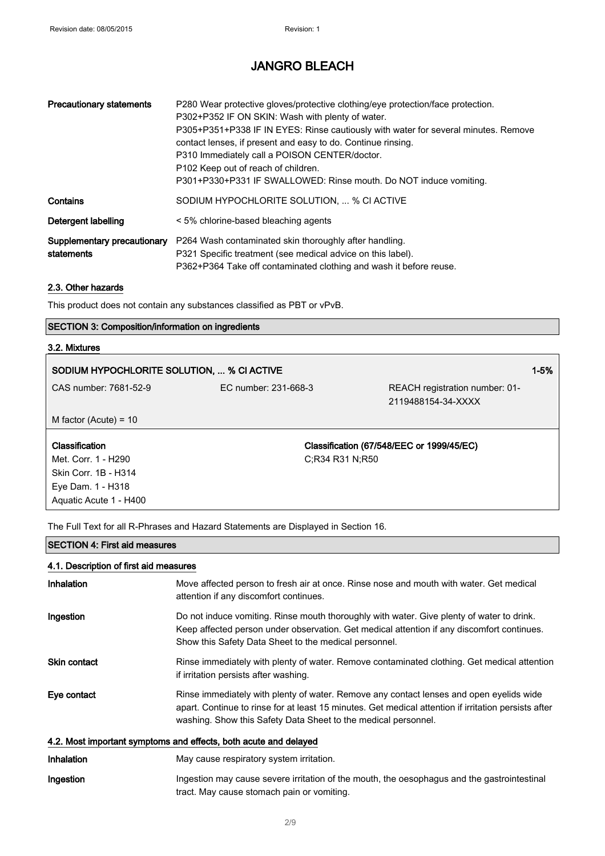| <b>Precautionary statements</b>           | P280 Wear protective gloves/protective clothing/eye protection/face protection.<br>P302+P352 IF ON SKIN: Wash with plenty of water.<br>P305+P351+P338 IF IN EYES: Rinse cautiously with water for several minutes. Remove<br>contact lenses, if present and easy to do. Continue rinsing.<br>P310 Immediately call a POISON CENTER/doctor.<br>P102 Keep out of reach of children.<br>P301+P330+P331 IF SWALLOWED: Rinse mouth. Do NOT induce vomiting. |
|-------------------------------------------|--------------------------------------------------------------------------------------------------------------------------------------------------------------------------------------------------------------------------------------------------------------------------------------------------------------------------------------------------------------------------------------------------------------------------------------------------------|
| Contains                                  | SODIUM HYPOCHLORITE SOLUTION,  % CI ACTIVE                                                                                                                                                                                                                                                                                                                                                                                                             |
| Detergent labelling                       | < 5% chlorine-based bleaching agents                                                                                                                                                                                                                                                                                                                                                                                                                   |
| Supplementary precautionary<br>statements | P264 Wash contaminated skin thoroughly after handling.<br>P321 Specific treatment (see medical advice on this label).<br>P362+P364 Take off contaminated clothing and wash it before reuse.                                                                                                                                                                                                                                                            |

#### 2.3. Other hazards

This product does not contain any substances classified as PBT or vPvB.

#### SECTION 3: Composition/information on ingredients

#### 3.2. Mixtures

| SODIUM HYPOCHLORITE SOLUTION,  % CI ACTIVE |                      |                                | $1 - 5%$ |
|--------------------------------------------|----------------------|--------------------------------|----------|
| CAS number: 7681-52-9                      | EC number: 231-668-3 | REACH registration number: 01- |          |
|                                            |                      | 2119488154-34-XXXX             |          |

M factor (Acute) = 10

| Classification         | Classification (67/548/EEC or 1999/45/EC) |
|------------------------|-------------------------------------------|
| Met. Corr. 1 - H290    | C:R34 R31 N:R50                           |
| Skin Corr. 1B - H314   |                                           |
| Eye Dam. 1 - H318      |                                           |
| Aquatic Acute 1 - H400 |                                           |

The Full Text for all R-Phrases and Hazard Statements are Displayed in Section 16.

#### SECTION 4: First aid measures

#### 4.1. Description of first aid measures

| Inhalation                                                       | Move affected person to fresh air at once. Rinse nose and mouth with water. Get medical<br>attention if any discomfort continues.                                                                                                                                 |  |
|------------------------------------------------------------------|-------------------------------------------------------------------------------------------------------------------------------------------------------------------------------------------------------------------------------------------------------------------|--|
| Ingestion                                                        | Do not induce vomiting. Rinse mouth thoroughly with water. Give plenty of water to drink.<br>Keep affected person under observation. Get medical attention if any discomfort continues.<br>Show this Safety Data Sheet to the medical personnel.                  |  |
| <b>Skin contact</b>                                              | Rinse immediately with plenty of water. Remove contaminated clothing. Get medical attention<br>if irritation persists after washing.                                                                                                                              |  |
| Eye contact                                                      | Rinse immediately with plenty of water. Remove any contact lenses and open eyelids wide<br>apart. Continue to rinse for at least 15 minutes. Get medical attention if irritation persists after<br>washing. Show this Safety Data Sheet to the medical personnel. |  |
| 4.2. Most important symptoms and effects, both acute and delayed |                                                                                                                                                                                                                                                                   |  |
| <b>Inhalation</b>                                                | May cause respiratory system irritation.                                                                                                                                                                                                                          |  |
| Ingestion                                                        | Ingestion may cause severe irritation of the mouth, the oesophagus and the gastrointestinal<br>tract. May cause stomach pain or vomiting.                                                                                                                         |  |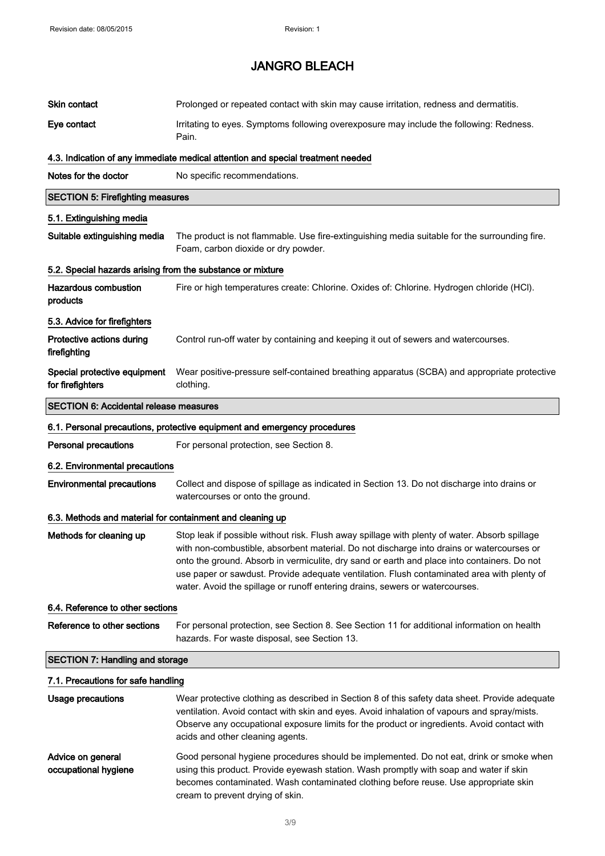| <b>Skin contact</b>                                        | Prolonged or repeated contact with skin may cause irritation, redness and dermatitis.                                                                                                                                                                                                                                                                                                                                                                                   |
|------------------------------------------------------------|-------------------------------------------------------------------------------------------------------------------------------------------------------------------------------------------------------------------------------------------------------------------------------------------------------------------------------------------------------------------------------------------------------------------------------------------------------------------------|
| Eye contact                                                | Irritating to eyes. Symptoms following overexposure may include the following: Redness.<br>Pain.                                                                                                                                                                                                                                                                                                                                                                        |
|                                                            | 4.3. Indication of any immediate medical attention and special treatment needed                                                                                                                                                                                                                                                                                                                                                                                         |
| Notes for the doctor                                       | No specific recommendations.                                                                                                                                                                                                                                                                                                                                                                                                                                            |
| <b>SECTION 5: Firefighting measures</b>                    |                                                                                                                                                                                                                                                                                                                                                                                                                                                                         |
| 5.1. Extinguishing media                                   |                                                                                                                                                                                                                                                                                                                                                                                                                                                                         |
| Suitable extinguishing media                               | The product is not flammable. Use fire-extinguishing media suitable for the surrounding fire.<br>Foam, carbon dioxide or dry powder.                                                                                                                                                                                                                                                                                                                                    |
| 5.2. Special hazards arising from the substance or mixture |                                                                                                                                                                                                                                                                                                                                                                                                                                                                         |
| <b>Hazardous combustion</b><br>products                    | Fire or high temperatures create: Chlorine. Oxides of: Chlorine. Hydrogen chloride (HCI).                                                                                                                                                                                                                                                                                                                                                                               |
| 5.3. Advice for firefighters                               |                                                                                                                                                                                                                                                                                                                                                                                                                                                                         |
| Protective actions during<br>firefighting                  | Control run-off water by containing and keeping it out of sewers and watercourses.                                                                                                                                                                                                                                                                                                                                                                                      |
| Special protective equipment<br>for firefighters           | Wear positive-pressure self-contained breathing apparatus (SCBA) and appropriate protective<br>clothing.                                                                                                                                                                                                                                                                                                                                                                |
| <b>SECTION 6: Accidental release measures</b>              |                                                                                                                                                                                                                                                                                                                                                                                                                                                                         |
|                                                            | 6.1. Personal precautions, protective equipment and emergency procedures                                                                                                                                                                                                                                                                                                                                                                                                |
| <b>Personal precautions</b>                                | For personal protection, see Section 8.                                                                                                                                                                                                                                                                                                                                                                                                                                 |
| 6.2. Environmental precautions                             |                                                                                                                                                                                                                                                                                                                                                                                                                                                                         |
| <b>Environmental precautions</b>                           | Collect and dispose of spillage as indicated in Section 13. Do not discharge into drains or<br>watercourses or onto the ground.                                                                                                                                                                                                                                                                                                                                         |
| 6.3. Methods and material for containment and cleaning up  |                                                                                                                                                                                                                                                                                                                                                                                                                                                                         |
| Methods for cleaning up                                    | Stop leak if possible without risk. Flush away spillage with plenty of water. Absorb spillage<br>with non-combustible, absorbent material. Do not discharge into drains or watercourses or<br>onto the ground. Absorb in vermiculite, dry sand or earth and place into containers. Do not<br>use paper or sawdust. Provide adequate ventilation. Flush contaminated area with plenty of<br>water. Avoid the spillage or runoff entering drains, sewers or watercourses. |
| 6.4. Reference to other sections                           |                                                                                                                                                                                                                                                                                                                                                                                                                                                                         |
| Reference to other sections                                | For personal protection, see Section 8. See Section 11 for additional information on health<br>hazards. For waste disposal, see Section 13.                                                                                                                                                                                                                                                                                                                             |
| <b>SECTION 7: Handling and storage</b>                     |                                                                                                                                                                                                                                                                                                                                                                                                                                                                         |
| 7.1. Precautions for safe handling                         |                                                                                                                                                                                                                                                                                                                                                                                                                                                                         |
| Usage precautions                                          | Wear protective clothing as described in Section 8 of this safety data sheet. Provide adequate<br>ventilation. Avoid contact with skin and eyes. Avoid inhalation of vapours and spray/mists.<br>Observe any occupational exposure limits for the product or ingredients. Avoid contact with<br>acids and other cleaning agents.                                                                                                                                        |
| Advice on general<br>occupational hygiene                  | Good personal hygiene procedures should be implemented. Do not eat, drink or smoke when<br>using this product. Provide eyewash station. Wash promptly with soap and water if skin<br>becomes contaminated. Wash contaminated clothing before reuse. Use appropriate skin<br>cream to prevent drying of skin.                                                                                                                                                            |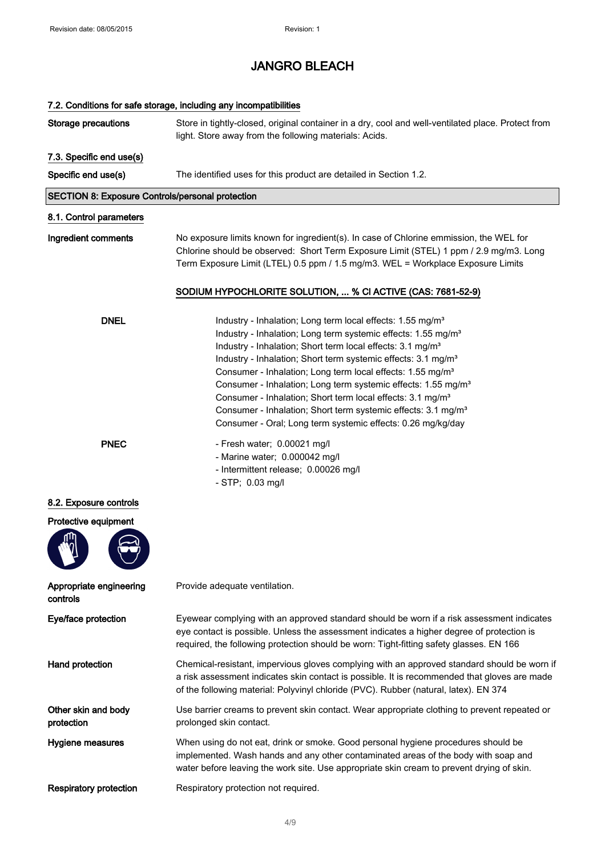## 7.2. Conditions for safe storage, including any incompatibilities Storage precautions Store in tightly-closed, original container in a dry, cool and well-ventilated place. Protect from light. Store away from the following materials: Acids. 7.3. Specific end use(s) Specific end use(s) The identified uses for this product are detailed in Section 1.2. SECTION 8: Exposure Controls/personal protection 8.1. Control parameters Ingredient comments No exposure limits known for ingredient(s). In case of Chlorine emmission, the WEL for Chlorine should be observed: Short Term Exposure Limit (STEL) 1 ppm / 2.9 mg/m3. Long Term Exposure Limit (LTEL) 0.5 ppm / 1.5 mg/m3. WEL = Workplace Exposure Limits SODIUM HYPOCHLORITE SOLUTION, ... % Cl ACTIVE (CAS: 7681-52-9) DNEL Industry - Inhalation; Long term local effects: 1.55 mg/m<sup>3</sup> Industry - Inhalation; Long term systemic effects: 1.55 mg/m<sup>3</sup> Industry - Inhalation; Short term local effects: 3.1 mg/m<sup>3</sup> Industry - Inhalation; Short term systemic effects: 3.1 mg/m<sup>3</sup> Consumer - Inhalation; Long term local effects: 1.55 mg/m<sup>3</sup> Consumer - Inhalation; Long term systemic effects: 1.55 mg/m<sup>3</sup> Consumer - Inhalation; Short term local effects: 3.1 mg/m<sup>3</sup> Consumer - Inhalation; Short term systemic effects: 3.1 mg/m<sup>3</sup> Consumer - Oral; Long term systemic effects: 0.26 mg/kg/day PNEC - Fresh water; 0.00021 mg/l - Marine water; 0.000042 mg/l - Intermittent release; 0.00026 mg/l - STP; 0.03 mg/l 8.2. Exposure controls Protective equipment Appropriate engineering controls Provide adequate ventilation. Eye/face protection Eyewear complying with an approved standard should be worn if a risk assessment indicates eye contact is possible. Unless the assessment indicates a higher degree of protection is required, the following protection should be worn: Tight-fitting safety glasses. EN 166 Hand protection **Chemical-resistant, impervious gloves complying with an approved standard should be worn if** a risk assessment indicates skin contact is possible. It is recommended that gloves are made of the following material: Polyvinyl chloride (PVC). Rubber (natural, latex). EN 374 Other skin and body protection Use barrier creams to prevent skin contact. Wear appropriate clothing to prevent repeated or prolonged skin contact. Hygiene measures When using do not eat, drink or smoke. Good personal hygiene procedures should be implemented. Wash hands and any other contaminated areas of the body with soap and water before leaving the work site. Use appropriate skin cream to prevent drying of skin. Respiratory protection Respiratory protection not required.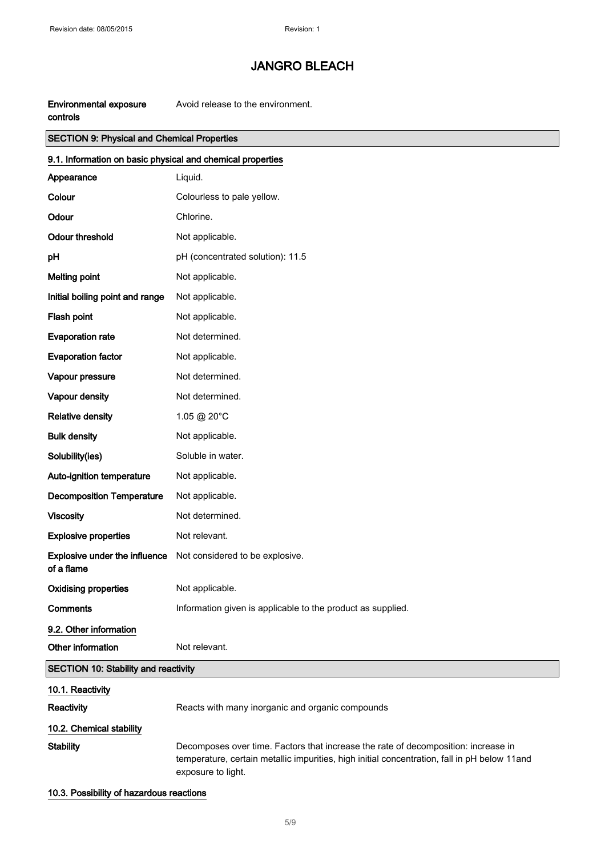| Environmental exposure | Avoid release to the environment. |
|------------------------|-----------------------------------|
| controls               |                                   |

### SECTION 9: Physical and Chemical Properties

| 9.1. Information on basic physical and chemical properties |                                                                                                                                                                                                          |  |
|------------------------------------------------------------|----------------------------------------------------------------------------------------------------------------------------------------------------------------------------------------------------------|--|
| Appearance                                                 | Liquid.                                                                                                                                                                                                  |  |
| Colour                                                     | Colourless to pale yellow.                                                                                                                                                                               |  |
| Odour                                                      | Chlorine.                                                                                                                                                                                                |  |
| <b>Odour threshold</b>                                     | Not applicable.                                                                                                                                                                                          |  |
| pH                                                         | pH (concentrated solution): 11.5                                                                                                                                                                         |  |
| <b>Melting point</b>                                       | Not applicable.                                                                                                                                                                                          |  |
| Initial boiling point and range                            | Not applicable.                                                                                                                                                                                          |  |
| Flash point                                                | Not applicable.                                                                                                                                                                                          |  |
| <b>Evaporation rate</b>                                    | Not determined.                                                                                                                                                                                          |  |
| <b>Evaporation factor</b>                                  | Not applicable.                                                                                                                                                                                          |  |
| Vapour pressure                                            | Not determined.                                                                                                                                                                                          |  |
| Vapour density                                             | Not determined.                                                                                                                                                                                          |  |
| <b>Relative density</b>                                    | 1.05 @ 20°C                                                                                                                                                                                              |  |
| <b>Bulk density</b>                                        | Not applicable.                                                                                                                                                                                          |  |
| Solubility(ies)                                            | Soluble in water.                                                                                                                                                                                        |  |
| Auto-ignition temperature                                  | Not applicable.                                                                                                                                                                                          |  |
| <b>Decomposition Temperature</b>                           | Not applicable.                                                                                                                                                                                          |  |
| <b>Viscosity</b>                                           | Not determined.                                                                                                                                                                                          |  |
| <b>Explosive properties</b>                                | Not relevant.                                                                                                                                                                                            |  |
| Explosive under the influence<br>of a flame                | Not considered to be explosive.                                                                                                                                                                          |  |
| <b>Oxidising properties</b>                                | Not applicable.                                                                                                                                                                                          |  |
| Comments                                                   | Information given is applicable to the product as supplied.                                                                                                                                              |  |
| 9.2. Other information                                     |                                                                                                                                                                                                          |  |
| Other information                                          | Not relevant.                                                                                                                                                                                            |  |
| <b>SECTION 10: Stability and reactivity</b>                |                                                                                                                                                                                                          |  |
| 10.1. Reactivity                                           |                                                                                                                                                                                                          |  |
| Reactivity                                                 | Reacts with many inorganic and organic compounds                                                                                                                                                         |  |
| 10.2. Chemical stability                                   |                                                                                                                                                                                                          |  |
| <b>Stability</b>                                           | Decomposes over time. Factors that increase the rate of decomposition: increase in<br>temperature, certain metallic impurities, high initial concentration, fall in pH below 11and<br>exposure to light. |  |

#### 10.3. Possibility of hazardous reactions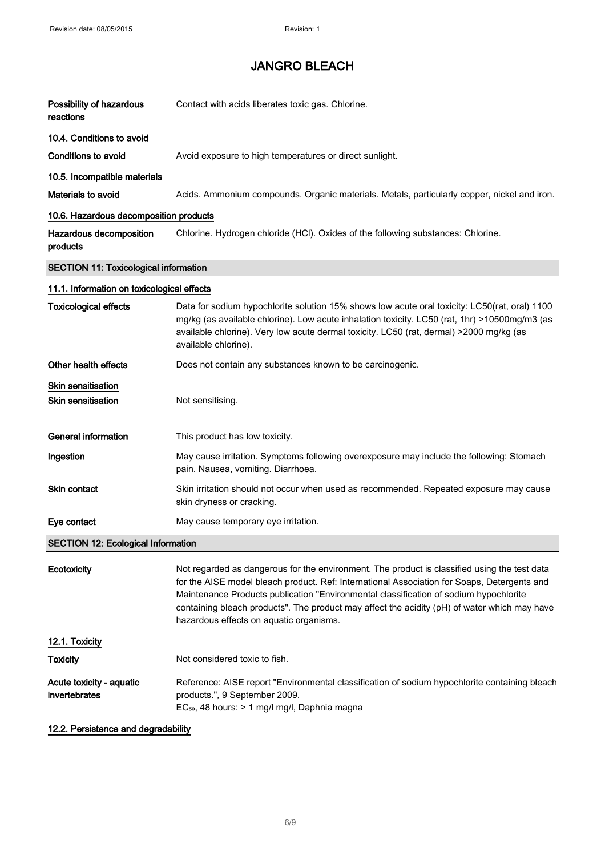| Possibility of hazardous<br>reactions           | Contact with acids liberates toxic gas. Chlorine.                                                                                                                                                                                                                                                                                                                                                                               |
|-------------------------------------------------|---------------------------------------------------------------------------------------------------------------------------------------------------------------------------------------------------------------------------------------------------------------------------------------------------------------------------------------------------------------------------------------------------------------------------------|
| 10.4. Conditions to avoid                       |                                                                                                                                                                                                                                                                                                                                                                                                                                 |
| <b>Conditions to avoid</b>                      | Avoid exposure to high temperatures or direct sunlight.                                                                                                                                                                                                                                                                                                                                                                         |
| 10.5. Incompatible materials                    |                                                                                                                                                                                                                                                                                                                                                                                                                                 |
| <b>Materials to avoid</b>                       | Acids. Ammonium compounds. Organic materials. Metals, particularly copper, nickel and iron.                                                                                                                                                                                                                                                                                                                                     |
| 10.6. Hazardous decomposition products          |                                                                                                                                                                                                                                                                                                                                                                                                                                 |
| Hazardous decomposition<br>products             | Chlorine. Hydrogen chloride (HCl). Oxides of the following substances: Chlorine.                                                                                                                                                                                                                                                                                                                                                |
| <b>SECTION 11: Toxicological information</b>    |                                                                                                                                                                                                                                                                                                                                                                                                                                 |
| 11.1. Information on toxicological effects      |                                                                                                                                                                                                                                                                                                                                                                                                                                 |
| <b>Toxicological effects</b>                    | Data for sodium hypochlorite solution 15% shows low acute oral toxicity: LC50(rat, oral) 1100<br>mg/kg (as available chlorine). Low acute inhalation toxicity. LC50 (rat, 1hr) >10500mg/m3 (as<br>available chlorine). Very low acute dermal toxicity. LC50 (rat, dermal) >2000 mg/kg (as<br>available chlorine).                                                                                                               |
| Other health effects                            | Does not contain any substances known to be carcinogenic.                                                                                                                                                                                                                                                                                                                                                                       |
| Skin sensitisation<br><b>Skin sensitisation</b> | Not sensitising.                                                                                                                                                                                                                                                                                                                                                                                                                |
| <b>General information</b>                      | This product has low toxicity.                                                                                                                                                                                                                                                                                                                                                                                                  |
| Ingestion                                       | May cause irritation. Symptoms following overexposure may include the following: Stomach<br>pain. Nausea, vomiting. Diarrhoea.                                                                                                                                                                                                                                                                                                  |
| Skin contact                                    | Skin irritation should not occur when used as recommended. Repeated exposure may cause<br>skin dryness or cracking.                                                                                                                                                                                                                                                                                                             |
| Eye contact                                     | May cause temporary eye irritation.                                                                                                                                                                                                                                                                                                                                                                                             |
| <b>SECTION 12: Ecological Information</b>       |                                                                                                                                                                                                                                                                                                                                                                                                                                 |
| Ecotoxicity                                     | Not regarded as dangerous for the environment. The product is classified using the test data<br>for the AISE model bleach product. Ref: International Association for Soaps, Detergents and<br>Maintenance Products publication "Environmental classification of sodium hypochlorite<br>containing bleach products". The product may affect the acidity (pH) of water which may have<br>hazardous effects on aquatic organisms. |
| 12.1. Toxicity                                  |                                                                                                                                                                                                                                                                                                                                                                                                                                 |
| Toxicity                                        | Not considered toxic to fish.                                                                                                                                                                                                                                                                                                                                                                                                   |
| Acute toxicity - aquatic<br>invertebrates       | Reference: AISE report "Environmental classification of sodium hypochlorite containing bleach<br>products.", 9 September 2009.<br>EC <sub>50</sub> , 48 hours: > 1 mg/l mg/l, Daphnia magna                                                                                                                                                                                                                                     |

#### 12.2. Persistence and degradability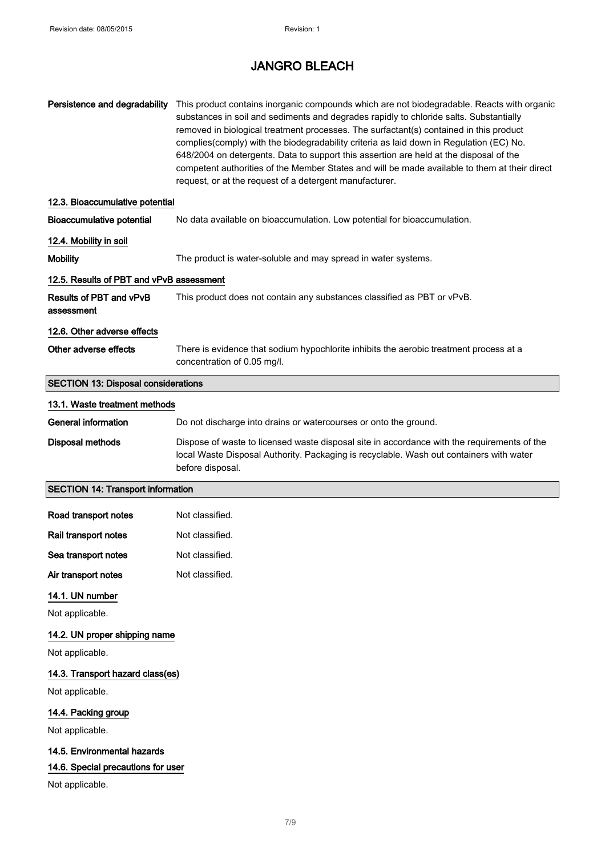## JANGRO BLEACH

| Persistence and degradability                | This product contains inorganic compounds which are not biodegradable. Reacts with organic<br>substances in soil and sediments and degrades rapidly to chloride salts. Substantially<br>removed in biological treatment processes. The surfactant(s) contained in this product<br>complies(comply) with the biodegradability criteria as laid down in Regulation (EC) No.<br>648/2004 on detergents. Data to support this assertion are held at the disposal of the<br>competent authorities of the Member States and will be made available to them at their direct<br>request, or at the request of a detergent manufacturer. |
|----------------------------------------------|---------------------------------------------------------------------------------------------------------------------------------------------------------------------------------------------------------------------------------------------------------------------------------------------------------------------------------------------------------------------------------------------------------------------------------------------------------------------------------------------------------------------------------------------------------------------------------------------------------------------------------|
| 12.3. Bioaccumulative potential              |                                                                                                                                                                                                                                                                                                                                                                                                                                                                                                                                                                                                                                 |
| <b>Bioaccumulative potential</b>             | No data available on bioaccumulation. Low potential for bioaccumulation.                                                                                                                                                                                                                                                                                                                                                                                                                                                                                                                                                        |
| 12.4. Mobility in soil                       |                                                                                                                                                                                                                                                                                                                                                                                                                                                                                                                                                                                                                                 |
| <b>Mobility</b>                              | The product is water-soluble and may spread in water systems.                                                                                                                                                                                                                                                                                                                                                                                                                                                                                                                                                                   |
| 12.5. Results of PBT and vPvB assessment     |                                                                                                                                                                                                                                                                                                                                                                                                                                                                                                                                                                                                                                 |
| <b>Results of PBT and vPvB</b><br>assessment | This product does not contain any substances classified as PBT or vPvB.                                                                                                                                                                                                                                                                                                                                                                                                                                                                                                                                                         |
| 12.6. Other adverse effects                  |                                                                                                                                                                                                                                                                                                                                                                                                                                                                                                                                                                                                                                 |
| Other adverse effects                        | There is evidence that sodium hypochlorite inhibits the aerobic treatment process at a<br>concentration of 0.05 mg/l.                                                                                                                                                                                                                                                                                                                                                                                                                                                                                                           |
| <b>SECTION 13: Disposal considerations</b>   |                                                                                                                                                                                                                                                                                                                                                                                                                                                                                                                                                                                                                                 |
| 13.1. Waste treatment methods                |                                                                                                                                                                                                                                                                                                                                                                                                                                                                                                                                                                                                                                 |
| <b>General information</b>                   | Do not discharge into drains or watercourses or onto the ground.                                                                                                                                                                                                                                                                                                                                                                                                                                                                                                                                                                |
| <b>Disposal methods</b>                      | Dispose of waste to licensed waste disposal site in accordance with the requirements of the<br>local Waste Disposal Authority. Packaging is recyclable. Wash out containers with water<br>before disposal.                                                                                                                                                                                                                                                                                                                                                                                                                      |
| <b>SECTION 14: Transport information</b>     |                                                                                                                                                                                                                                                                                                                                                                                                                                                                                                                                                                                                                                 |
| Road transport notes                         | Not classified.                                                                                                                                                                                                                                                                                                                                                                                                                                                                                                                                                                                                                 |
| Rail transport notes                         | Not classified.                                                                                                                                                                                                                                                                                                                                                                                                                                                                                                                                                                                                                 |
| Sea transport notes                          | Not classified.                                                                                                                                                                                                                                                                                                                                                                                                                                                                                                                                                                                                                 |
| Air transport notes                          | Not classified.                                                                                                                                                                                                                                                                                                                                                                                                                                                                                                                                                                                                                 |
| 14.1. UN number                              |                                                                                                                                                                                                                                                                                                                                                                                                                                                                                                                                                                                                                                 |
| Not applicable.                              |                                                                                                                                                                                                                                                                                                                                                                                                                                                                                                                                                                                                                                 |
| 14.2. UN proper shipping name                |                                                                                                                                                                                                                                                                                                                                                                                                                                                                                                                                                                                                                                 |
| Not applicable.                              |                                                                                                                                                                                                                                                                                                                                                                                                                                                                                                                                                                                                                                 |
| 14.3. Transport hazard class(es)             |                                                                                                                                                                                                                                                                                                                                                                                                                                                                                                                                                                                                                                 |
| Not applicable.                              |                                                                                                                                                                                                                                                                                                                                                                                                                                                                                                                                                                                                                                 |
| 14.4. Packing group                          |                                                                                                                                                                                                                                                                                                                                                                                                                                                                                                                                                                                                                                 |
| Not applicable.                              |                                                                                                                                                                                                                                                                                                                                                                                                                                                                                                                                                                                                                                 |
| 14.5. Environmental hazards                  |                                                                                                                                                                                                                                                                                                                                                                                                                                                                                                                                                                                                                                 |
| 14.6. Special precautions for user           |                                                                                                                                                                                                                                                                                                                                                                                                                                                                                                                                                                                                                                 |
| Not applicable.                              |                                                                                                                                                                                                                                                                                                                                                                                                                                                                                                                                                                                                                                 |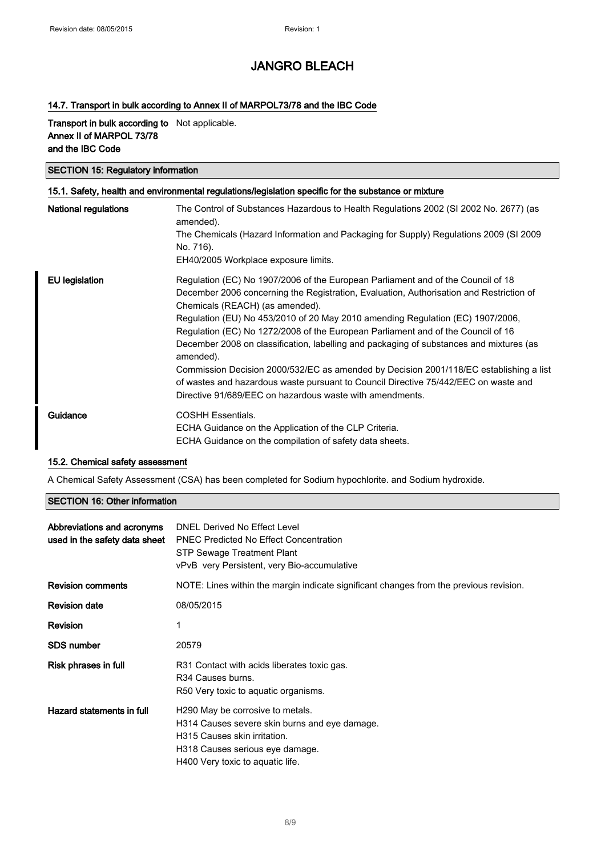#### 14.7. Transport in bulk according to Annex II of MARPOL73/78 and the IBC Code

Transport in bulk according to Not applicable. Annex II of MARPOL 73/78 and the IBC Code

### SECTION 15: Regulatory information

| 15.1. Safety, health and environmental regulations/legislation specific for the substance or mixture |                                                                                                                                                                                                                                                                                                                                                                                                                                                                                                                                                                                                                                                                                                                                           |  |
|------------------------------------------------------------------------------------------------------|-------------------------------------------------------------------------------------------------------------------------------------------------------------------------------------------------------------------------------------------------------------------------------------------------------------------------------------------------------------------------------------------------------------------------------------------------------------------------------------------------------------------------------------------------------------------------------------------------------------------------------------------------------------------------------------------------------------------------------------------|--|
| <b>National regulations</b>                                                                          | The Control of Substances Hazardous to Health Regulations 2002 (SI 2002 No. 2677) (as<br>amended).                                                                                                                                                                                                                                                                                                                                                                                                                                                                                                                                                                                                                                        |  |
|                                                                                                      | The Chemicals (Hazard Information and Packaging for Supply) Regulations 2009 (SI 2009<br>No. 716).                                                                                                                                                                                                                                                                                                                                                                                                                                                                                                                                                                                                                                        |  |
|                                                                                                      | EH40/2005 Workplace exposure limits.                                                                                                                                                                                                                                                                                                                                                                                                                                                                                                                                                                                                                                                                                                      |  |
| EU legislation                                                                                       | Regulation (EC) No 1907/2006 of the European Parliament and of the Council of 18<br>December 2006 concerning the Registration, Evaluation, Authorisation and Restriction of<br>Chemicals (REACH) (as amended).<br>Regulation (EU) No 453/2010 of 20 May 2010 amending Regulation (EC) 1907/2006,<br>Regulation (EC) No 1272/2008 of the European Parliament and of the Council of 16<br>December 2008 on classification, labelling and packaging of substances and mixtures (as<br>amended).<br>Commission Decision 2000/532/EC as amended by Decision 2001/118/EC establishing a list<br>of wastes and hazardous waste pursuant to Council Directive 75/442/EEC on waste and<br>Directive 91/689/EEC on hazardous waste with amendments. |  |
| Guidance                                                                                             | <b>COSHH Essentials.</b><br>ECHA Guidance on the Application of the CLP Criteria.<br>ECHA Guidance on the compilation of safety data sheets.                                                                                                                                                                                                                                                                                                                                                                                                                                                                                                                                                                                              |  |

#### 15.2. Chemical safety assessment

A Chemical Safety Assessment (CSA) has been completed for Sodium hypochlorite. and Sodium hydroxide.

#### SECTION 16: Other information

| Abbreviations and acronyms<br>used in the safety data sheet | DNEL Derived No Effect Level<br><b>PNEC Predicted No Effect Concentration</b><br>STP Sewage Treatment Plant<br>vPvB very Persistent, very Bio-accumulative                               |
|-------------------------------------------------------------|------------------------------------------------------------------------------------------------------------------------------------------------------------------------------------------|
| <b>Revision comments</b>                                    | NOTE: Lines within the margin indicate significant changes from the previous revision.                                                                                                   |
| <b>Revision date</b>                                        | 08/05/2015                                                                                                                                                                               |
| Revision                                                    | 1                                                                                                                                                                                        |
| <b>SDS number</b>                                           | 20579                                                                                                                                                                                    |
| Risk phrases in full                                        | R31 Contact with acids liberates toxic gas.<br>R <sub>34</sub> Causes burns.<br>R50 Very toxic to aquatic organisms.                                                                     |
| Hazard statements in full                                   | H290 May be corrosive to metals.<br>H314 Causes severe skin burns and eye damage.<br>H315 Causes skin irritation.<br>H318 Causes serious eye damage.<br>H400 Very toxic to aquatic life. |